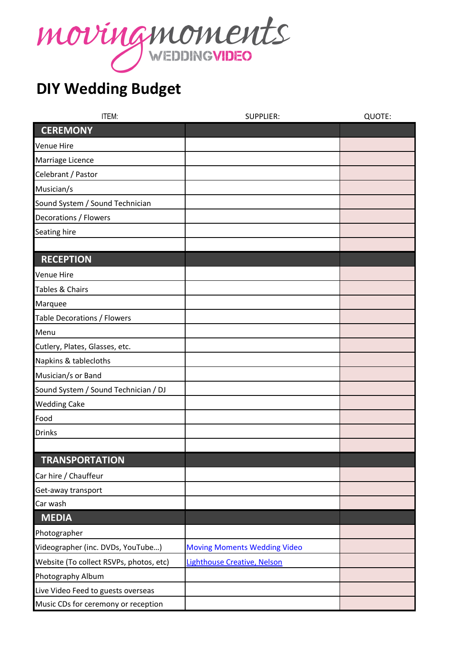

## **DIY Wedding Budget**

| ITEM:                                   | <b>SUPPLIER:</b>                    | QUOTE: |
|-----------------------------------------|-------------------------------------|--------|
| <b>CEREMONY</b>                         |                                     |        |
| <b>Venue Hire</b>                       |                                     |        |
| Marriage Licence                        |                                     |        |
| Celebrant / Pastor                      |                                     |        |
| Musician/s                              |                                     |        |
| Sound System / Sound Technician         |                                     |        |
| Decorations / Flowers                   |                                     |        |
| Seating hire                            |                                     |        |
|                                         |                                     |        |
| <b>RECEPTION</b>                        |                                     |        |
| <b>Venue Hire</b>                       |                                     |        |
| Tables & Chairs                         |                                     |        |
| Marquee                                 |                                     |        |
| <b>Table Decorations / Flowers</b>      |                                     |        |
| Menu                                    |                                     |        |
| Cutlery, Plates, Glasses, etc.          |                                     |        |
| Napkins & tablecloths                   |                                     |        |
| Musician/s or Band                      |                                     |        |
| Sound System / Sound Technician / DJ    |                                     |        |
| <b>Wedding Cake</b>                     |                                     |        |
| Food                                    |                                     |        |
| <b>Drinks</b>                           |                                     |        |
|                                         |                                     |        |
| <b>TRANSPORTATION</b>                   |                                     |        |
| Car hire / Chauffeur                    |                                     |        |
| Get-away transport                      |                                     |        |
| Car wash                                |                                     |        |
| <b>MEDIA</b>                            |                                     |        |
| Photographer                            |                                     |        |
| Videographer (inc. DVDs, YouTube)       | <b>Moving Moments Wedding Video</b> |        |
| Website (To collect RSVPs, photos, etc) | Lighthouse Creative, Nelson         |        |
| Photography Album                       |                                     |        |
| Live Video Feed to guests overseas      |                                     |        |
| Music CDs for ceremony or reception     |                                     |        |